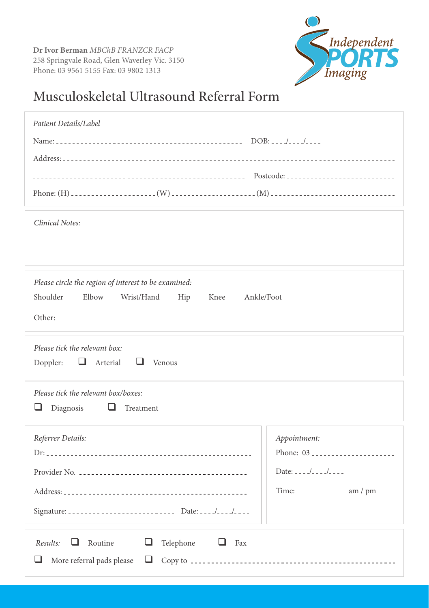

## Musculoskeletal Ultrasound Referral Form

| Phone: 03 ______________________ |
|----------------------------------|
| Date: $- -$ --------             |
| Time: am / pm                    |
|                                  |
|                                  |
|                                  |
|                                  |